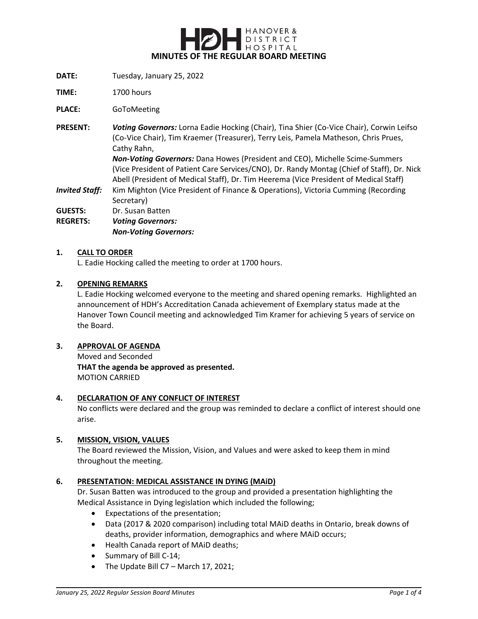

- **DATE:** Tuesday, January 25, 2022
- **TIME:** 1700 hours

**PLACE:** GoToMeeting

**PRESENT:** *Voting Governors:* Lorna Eadie Hocking (Chair), Tina Shier (Co-Vice Chair), Corwin Leifso (Co-Vice Chair), Tim Kraemer (Treasurer), Terry Leis, Pamela Matheson, Chris Prues, Cathy Rahn, *Non-Voting Governors:* Dana Howes (President and CEO), Michelle Scime-Summers (Vice President of Patient Care Services/CNO), Dr. Randy Montag (Chief of Staff), Dr. Nick Abell (President of Medical Staff), Dr. Tim Heerema (Vice President of Medical Staff)

*Invited Staff:* Kim Mighton (Vice President of Finance & Operations), Victoria Cumming (Recording Secretary)

GUESTS: Dr. Susan Batten

**REGRETS:** *Voting Governors: Non-Voting Governors:*

#### **1. CALL TO ORDER**

L. Eadie Hocking called the meeting to order at 1700 hours.

#### **2. OPENING REMARKS**

L. Eadie Hocking welcomed everyone to the meeting and shared opening remarks. Highlighted an announcement of HDH's Accreditation Canada achievement of Exemplary status made at the Hanover Town Council meeting and acknowledged Tim Kramer for achieving 5 years of service on the Board.

#### **3. APPROVAL OF AGENDA**

Moved and Seconded **THAT the agenda be approved as presented.** MOTION CARRIED

#### **4. DECLARATION OF ANY CONFLICT OF INTEREST**

No conflicts were declared and the group was reminded to declare a conflict of interest should one arise.

#### **5. MISSION, VISION, VALUES**

The Board reviewed the Mission, Vision, and Values and were asked to keep them in mind throughout the meeting.

### **6. PRESENTATION: MEDICAL ASSISTANCE IN DYING (MAiD)**

Dr. Susan Batten was introduced to the group and provided a presentation highlighting the Medical Assistance in Dying legislation which included the following;

- Expectations of the presentation;
- Data (2017 & 2020 comparison) including total MAiD deaths in Ontario, break downs of deaths, provider information, demographics and where MAiD occurs;
- Health Canada report of MAiD deaths;
- Summary of Bill C-14;
- The Update Bill C7 March 17, 2021;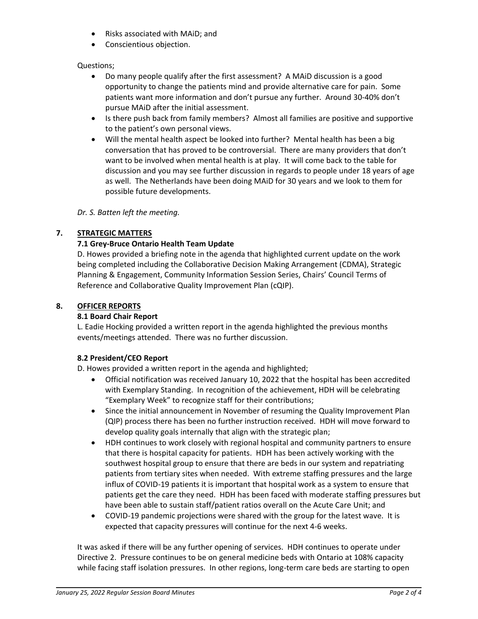- Risks associated with MAiD; and
- Conscientious objection.

# Questions;

- Do many people qualify after the first assessment? A MAiD discussion is a good opportunity to change the patients mind and provide alternative care for pain. Some patients want more information and don't pursue any further. Around 30-40% don't pursue MAiD after the initial assessment.
- Is there push back from family members? Almost all families are positive and supportive to the patient's own personal views.
- Will the mental health aspect be looked into further? Mental health has been a big conversation that has proved to be controversial. There are many providers that don't want to be involved when mental health is at play. It will come back to the table for discussion and you may see further discussion in regards to people under 18 years of age as well. The Netherlands have been doing MAiD for 30 years and we look to them for possible future developments.

*Dr. S. Batten left the meeting.*

# **7. STRATEGIC MATTERS**

# **7.1 Grey-Bruce Ontario Health Team Update**

D. Howes provided a briefing note in the agenda that highlighted current update on the work being completed including the Collaborative Decision Making Arrangement (CDMA), Strategic Planning & Engagement, Community Information Session Series, Chairs' Council Terms of Reference and Collaborative Quality Improvement Plan (cQIP).

### **8. OFFICER REPORTS**

### **8.1 Board Chair Report**

L. Eadie Hocking provided a written report in the agenda highlighted the previous months events/meetings attended. There was no further discussion.

# **8.2 President/CEO Report**

D. Howes provided a written report in the agenda and highlighted;

- Official notification was received January 10, 2022 that the hospital has been accredited with Exemplary Standing. In recognition of the achievement, HDH will be celebrating "Exemplary Week" to recognize staff for their contributions;
- Since the initial announcement in November of resuming the Quality Improvement Plan (QIP) process there has been no further instruction received. HDH will move forward to develop quality goals internally that align with the strategic plan;
- HDH continues to work closely with regional hospital and community partners to ensure that there is hospital capacity for patients. HDH has been actively working with the southwest hospital group to ensure that there are beds in our system and repatriating patients from tertiary sites when needed. With extreme staffing pressures and the large influx of COVID-19 patients it is important that hospital work as a system to ensure that patients get the care they need. HDH has been faced with moderate staffing pressures but have been able to sustain staff/patient ratios overall on the Acute Care Unit; and
- COVID-19 pandemic projections were shared with the group for the latest wave. It is expected that capacity pressures will continue for the next 4-6 weeks.

It was asked if there will be any further opening of services. HDH continues to operate under Directive 2. Pressure continues to be on general medicine beds with Ontario at 108% capacity while facing staff isolation pressures. In other regions, long-term care beds are starting to open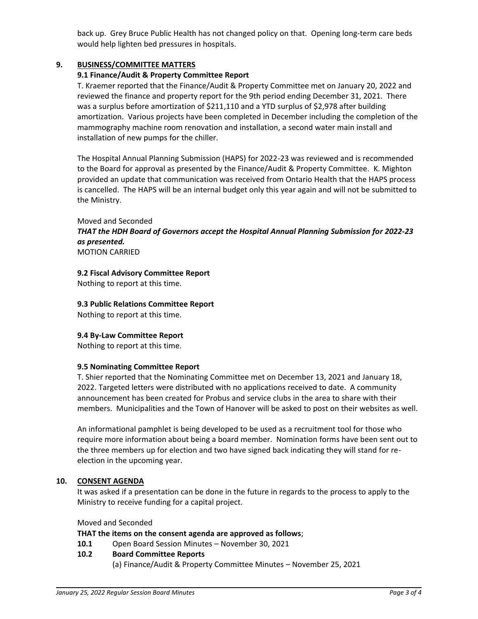back up. Grey Bruce Public Health has not changed policy on that. Opening long-term care beds would help lighten bed pressures in hospitals.

# **9. BUSINESS/COMMITTEE MATTERS**

### **9.1 Finance/Audit & Property Committee Report**

T. Kraemer reported that the Finance/Audit & Property Committee met on January 20, 2022 and reviewed the finance and property report for the 9th period ending December 31, 2021. There was a surplus before amortization of \$211,110 and a YTD surplus of \$2,978 after building amortization. Various projects have been completed in December including the completion of the mammography machine room renovation and installation, a second water main install and installation of new pumps for the chiller.

The Hospital Annual Planning Submission (HAPS) for 2022-23 was reviewed and is recommended to the Board for approval as presented by the Finance/Audit & Property Committee. K. Mighton provided an update that communication was received from Ontario Health that the HAPS process is cancelled. The HAPS will be an internal budget only this year again and will not be submitted to the Ministry.

#### Moved and Seconded

### *THAT the HDH Board of Governors accept the Hospital Annual Planning Submission for 2022-23 as presented.* MOTION CARRIED

### **9.2 Fiscal Advisory Committee Report**

Nothing to report at this time.

**9.3 Public Relations Committee Report**

Nothing to report at this time.

### **9.4 By-Law Committee Report**

Nothing to report at this time.

### **9.5 Nominating Committee Report**

T. Shier reported that the Nominating Committee met on December 13, 2021 and January 18, 2022. Targeted letters were distributed with no applications received to date. A community announcement has been created for Probus and service clubs in the area to share with their members. Municipalities and the Town of Hanover will be asked to post on their websites as well.

An informational pamphlet is being developed to be used as a recruitment tool for those who require more information about being a board member. Nomination forms have been sent out to the three members up for election and two have signed back indicating they will stand for reelection in the upcoming year.

### **10. CONSENT AGENDA**

It was asked if a presentation can be done in the future in regards to the process to apply to the Ministry to receive funding for a capital project.

### Moved and Seconded

### **THAT the items on the consent agenda are approved as follows**;

**10.1** Open Board Session Minutes – November 30, 2021

# **10.2 Board Committee Reports**

(a) Finance/Audit & Property Committee Minutes – November 25, 2021